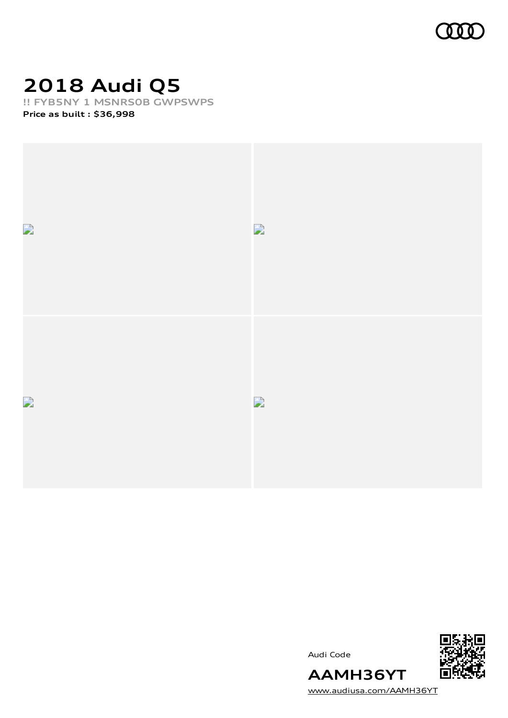

# **2018 Audi Q5**

**!! FYB5NY 1 MSNRS0B GWPSWPS**

**Price as built [:](#page-6-0) \$36,998**



![](_page_0_Picture_5.jpeg)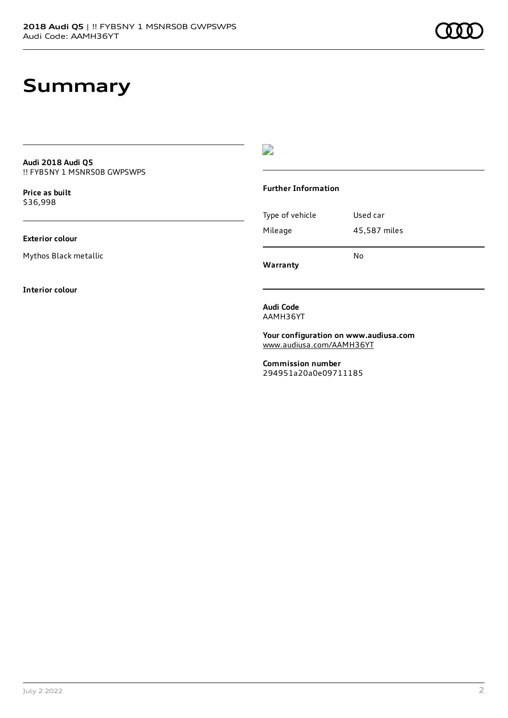#### **Summary**

**Audi 2018 Audi Q5** !! FYB5NY 1 MSNRS0B GWPSWPS

**Price as buil[t](#page-6-0)** \$36,998

**Exterior colour**

Mythos Black metallic

**Interior colour**

 $\overline{\phantom{a}}$ 

#### **Further Information**

Type of vehicle Used car Mileage 45,587 miles No

**Warranty**

**Audi Code** AAMH36YT

**Your configuration on www.audiusa.com** [www.audiusa.com/AAMH36YT](https://www.audiusa.com/AAMH36YT)

**Commission number** 294951a20a0e09711185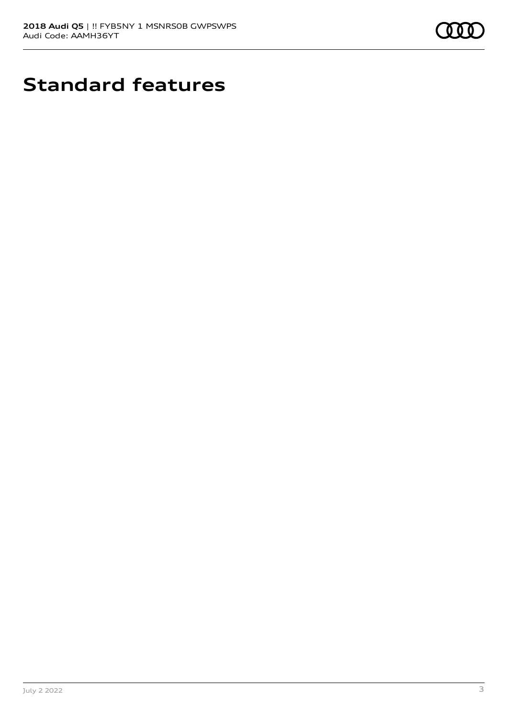![](_page_2_Picture_1.jpeg)

# **Standard features**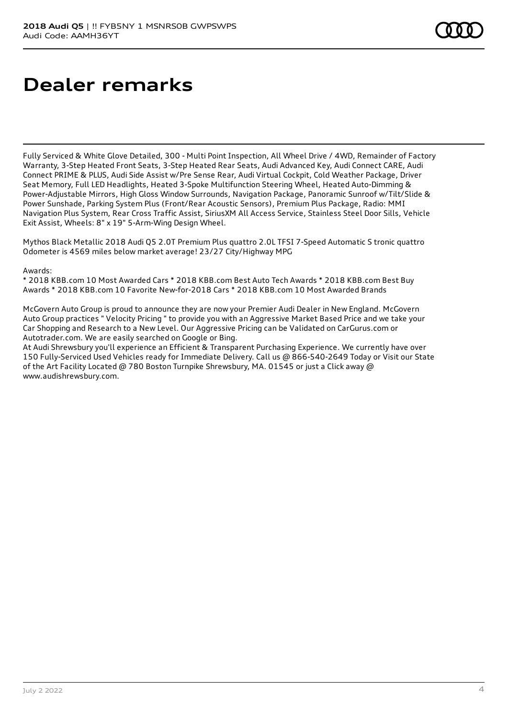# **Dealer remarks**

Fully Serviced & White Glove Detailed, 300 - Multi Point Inspection, All Wheel Drive / 4WD, Remainder of Factory Warranty, 3-Step Heated Front Seats, 3-Step Heated Rear Seats, Audi Advanced Key, Audi Connect CARE, Audi Connect PRIME & PLUS, Audi Side Assist w/Pre Sense Rear, Audi Virtual Cockpit, Cold Weather Package, Driver Seat Memory, Full LED Headlights, Heated 3-Spoke Multifunction Steering Wheel, Heated Auto-Dimming & Power-Adjustable Mirrors, High Gloss Window Surrounds, Navigation Package, Panoramic Sunroof w/Tilt/Slide & Power Sunshade, Parking System Plus (Front/Rear Acoustic Sensors), Premium Plus Package, Radio: MMI Navigation Plus System, Rear Cross Traffic Assist, SiriusXM All Access Service, Stainless Steel Door Sills, Vehicle Exit Assist, Wheels: 8" x 19" 5-Arm-Wing Design Wheel.

Mythos Black Metallic 2018 Audi Q5 2.0T Premium Plus quattro 2.0L TFSI 7-Speed Automatic S tronic quattro Odometer is 4569 miles below market average! 23/27 City/Highway MPG

Awards:

\* 2018 KBB.com 10 Most Awarded Cars \* 2018 KBB.com Best Auto Tech Awards \* 2018 KBB.com Best Buy Awards \* 2018 KBB.com 10 Favorite New-for-2018 Cars \* 2018 KBB.com 10 Most Awarded Brands

McGovern Auto Group is proud to announce they are now your Premier Audi Dealer in New England. McGovern Auto Group practices " Velocity Pricing " to provide you with an Aggressive Market Based Price and we take your Car Shopping and Research to a New Level. Our Aggressive Pricing can be Validated on CarGurus.com or Autotrader.com. We are easily searched on Google or Bing.

At Audi Shrewsbury you'll experience an Efficient & Transparent Purchasing Experience. We currently have over 150 Fully-Serviced Used Vehicles ready for Immediate Delivery. Call us @ 866-540-2649 Today or Visit our State of the Art Facility Located @ 780 Boston Turnpike Shrewsbury, MA. 01545 or just a Click away @ www.audishrewsbury.com.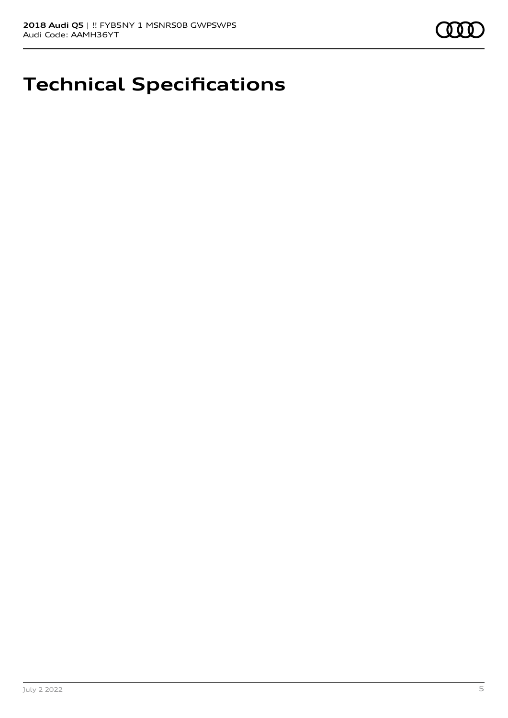![](_page_4_Picture_1.jpeg)

## **Technical Specifications**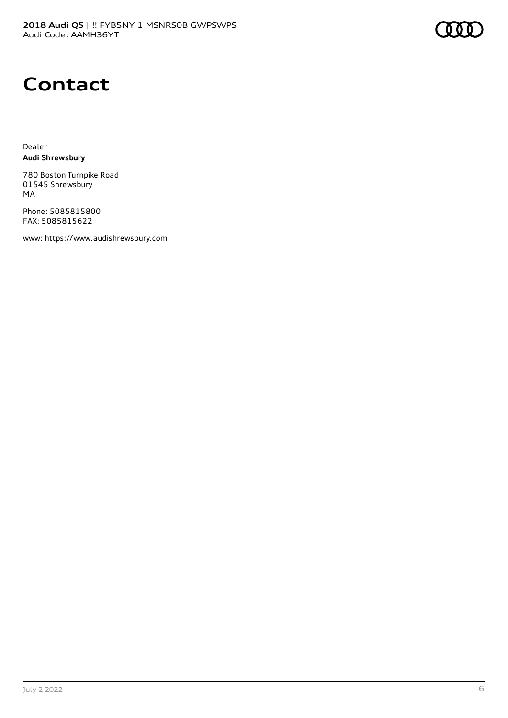#### **Contact**

Dealer **Audi Shrewsbury**

780 Boston Turnpike Road 01545 Shrewsbury MA

Phone: 5085815800 FAX: 5085815622

www: [https://www.audishrewsbury.com](https://www.audishrewsbury.com/)